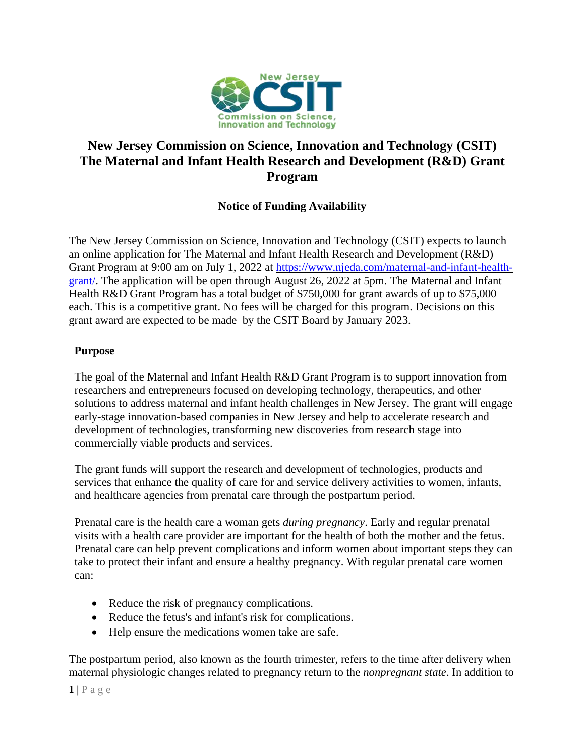

# **New Jersey Commission on Science, Innovation and Technology (CSIT) The Maternal and Infant Health Research and Development (R&D) Grant Program**

# **Notice of Funding Availability**

The New Jersey Commission on Science, Innovation and Technology (CSIT) expects to launch an online application for The Maternal and Infant Health Research and Development (R&D) Grant Program at 9:00 am on July 1, 2022 at [https://www.njeda.com/maternal-and-infant-health](https://www.njeda.com/maternal-and-infant-health-grant/)[grant/.](https://www.njeda.com/maternal-and-infant-health-grant/) The application will be open through August 26, 2022 at 5pm. The Maternal and Infant Health R&D Grant Program has a total budget of \$750,000 for grant awards of up to \$75,000 each. This is a competitive grant. No fees will be charged for this program. Decisions on this grant award are expected to be made by the CSIT Board by January 2023.

#### **Purpose**

The goal of the Maternal and Infant Health R&D Grant Program is to support innovation from researchers and entrepreneurs focused on developing technology, therapeutics, and other solutions to address maternal and infant health challenges in New Jersey. The grant will engage early-stage innovation-based companies in New Jersey and help to accelerate research and development of technologies, transforming new discoveries from research stage into commercially viable products and services.

The grant funds will support the research and development of technologies, products and services that enhance the quality of care for and service delivery activities to women, infants, and healthcare agencies from prenatal care through the postpartum period.

Prenatal care is the health care a woman gets *during pregnancy*. Early and regular prenatal visits with a health care provider are important for the health of both the mother and the fetus. Prenatal care can help prevent complications and inform women about important steps they can take to protect their infant and ensure a healthy pregnancy. With regular prenatal care women can:

- Reduce the risk of pregnancy complications.
- Reduce the fetus's and infant's risk for complications.
- Help ensure the medications women take are safe.

The postpartum period, also known as the fourth trimester, refers to the time after delivery when maternal physiologic changes related to pregnancy return to the *nonpregnant state*. In addition to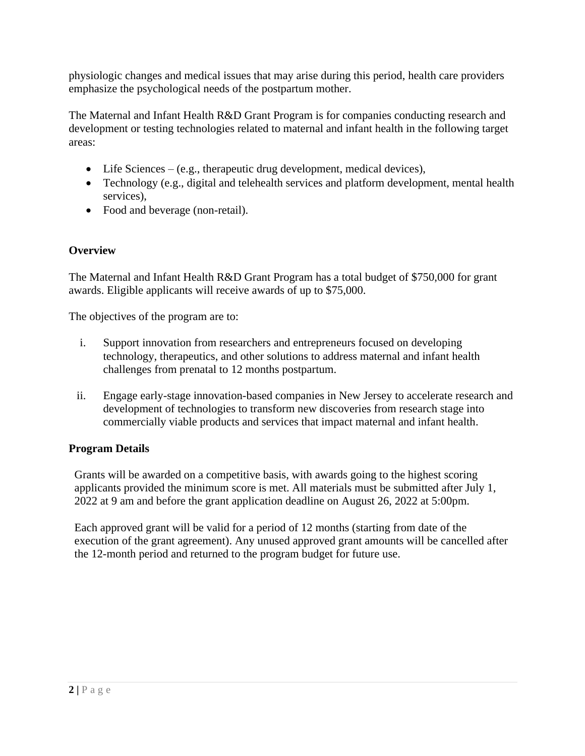physiologic changes and medical issues that may arise during this period, health care providers emphasize the psychological needs of the postpartum mother.

The Maternal and Infant Health R&D Grant Program is for companies conducting research and development or testing technologies related to maternal and infant health in the following target areas:

- Life Sciences (e.g., therapeutic drug development, medical devices),
- Technology (e.g., digital and telehealth services and platform development, mental health services),
- Food and beverage (non-retail).

# **Overview**

The Maternal and Infant Health R&D Grant Program has a total budget of \$750,000 for grant awards. Eligible applicants will receive awards of up to \$75,000.

The objectives of the program are to:

- i. Support innovation from researchers and entrepreneurs focused on developing technology, therapeutics, and other solutions to address maternal and infant health challenges from prenatal to 12 months postpartum.
- ii. Engage early-stage innovation-based companies in New Jersey to accelerate research and development of technologies to transform new discoveries from research stage into commercially viable products and services that impact maternal and infant health.

# **Program Details**

Grants will be awarded on a competitive basis, with awards going to the highest scoring applicants provided the minimum score is met. All materials must be submitted after July 1, 2022 at 9 am and before the grant application deadline on August 26, 2022 at 5:00pm.

Each approved grant will be valid for a period of 12 months (starting from date of the execution of the grant agreement). Any unused approved grant amounts will be cancelled after the 12-month period and returned to the program budget for future use.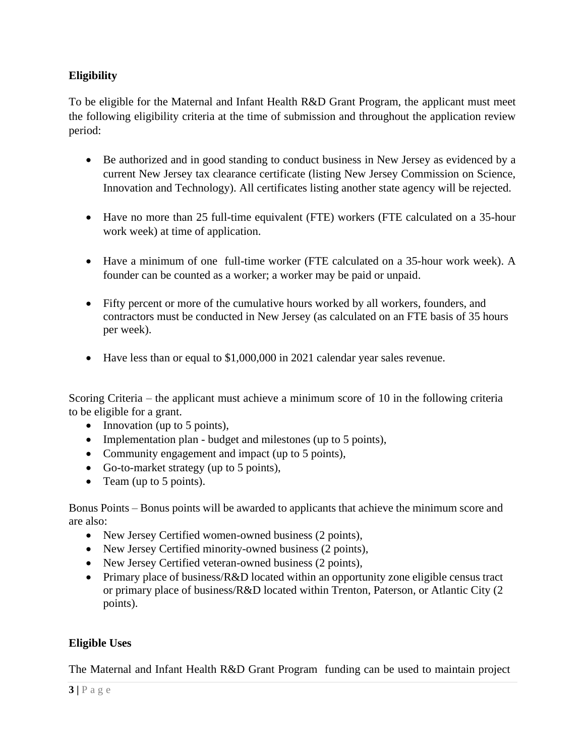# **Eligibility**

To be eligible for the Maternal and Infant Health R&D Grant Program, the applicant must meet the following eligibility criteria at the time of submission and throughout the application review period:

- Be authorized and in good standing to conduct business in New Jersey as evidenced by a current New Jersey tax clearance certificate (listing New Jersey Commission on Science, Innovation and Technology). All certificates listing another state agency will be rejected.
- Have no more than 25 full-time equivalent (FTE) workers (FTE calculated on a 35-hour work week) at time of application.
- Have a minimum of one full-time worker (FTE calculated on a 35-hour work week). A founder can be counted as a worker; a worker may be paid or unpaid.
- Fifty percent or more of the cumulative hours worked by all workers, founders, and contractors must be conducted in New Jersey (as calculated on an FTE basis of 35 hours per week).
- Have less than or equal to \$1,000,000 in 2021 calendar year sales revenue.

Scoring Criteria – the applicant must achieve a minimum score of 10 in the following criteria to be eligible for a grant.

- Innovation (up to 5 points),
- Implementation plan budget and milestones (up to 5 points),
- Community engagement and impact (up to 5 points),
- Go-to-market strategy (up to 5 points),
- Team (up to 5 points).

Bonus Points – Bonus points will be awarded to applicants that achieve the minimum score and are also:

- New Jersey Certified women-owned business (2 points),
- New Jersey Certified minority-owned business (2 points),
- New Jersey Certified veteran-owned business (2 points),
- Primary place of business/R&D located within an opportunity zone eligible census tract or primary place of business/R&D located within Trenton, Paterson, or Atlantic City (2 points).

# **Eligible Uses**

The Maternal and Infant Health R&D Grant Program funding can be used to maintain project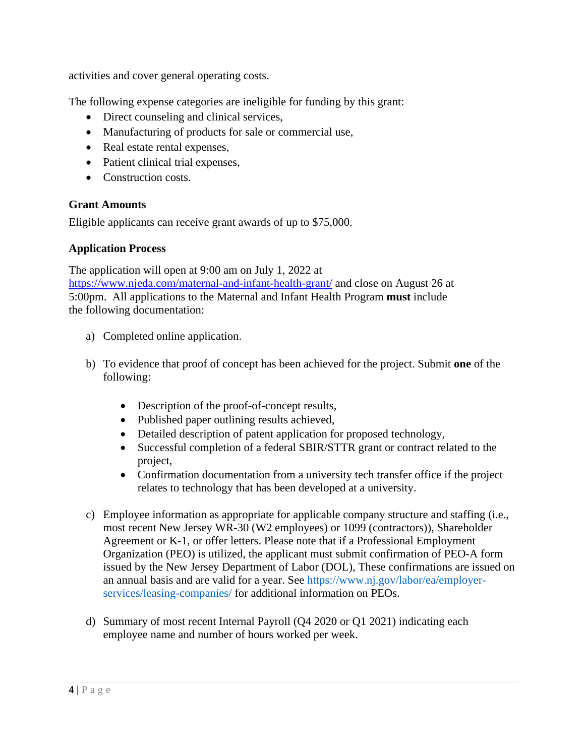activities and cover general operating costs.

The following expense categories are ineligible for funding by this grant:

- Direct counseling and clinical services,
- Manufacturing of products for sale or commercial use,
- Real estate rental expenses,
- Patient clinical trial expenses,
- Construction costs.

### **Grant Amounts**

Eligible applicants can receive grant awards of up to \$75,000.

### **Application Process**

The application will open at 9:00 am on July 1, 2022 at <https://www.njeda.com/maternal-and-infant-health-grant/> and close on August 26 at 5:00pm. All applications to the Maternal and Infant Health Program **must** include the following documentation:

- a) Completed online application.
- b) To evidence that proof of concept has been achieved for the project. Submit **one** of the following:
	- Description of the proof-of-concept results,
	- Published paper outlining results achieved,
	- Detailed description of patent application for proposed technology,
	- Successful completion of a federal SBIR/STTR grant or contract related to the project,
	- Confirmation documentation from a university tech transfer office if the project relates to technology that has been developed at a university.
- c) Employee information as appropriate for applicable company structure and staffing (i.e., most recent New Jersey WR-30 (W2 employees) or 1099 (contractors)), Shareholder Agreement or K-1, or offer letters. Please note that if a Professional Employment Organization (PEO) is utilized, the applicant must submit confirmation of PEO-A form issued by the New Jersey Department of Labor (DOL), These confirmations are issued on an annual basis and are valid for a year. See https://www.nj.gov/labor/ea/employerservices/leasing-companies/ for additional information on PEOs.
- d) Summary of most recent Internal Payroll (Q4 2020 or Q1 2021) indicating each employee name and number of hours worked per week.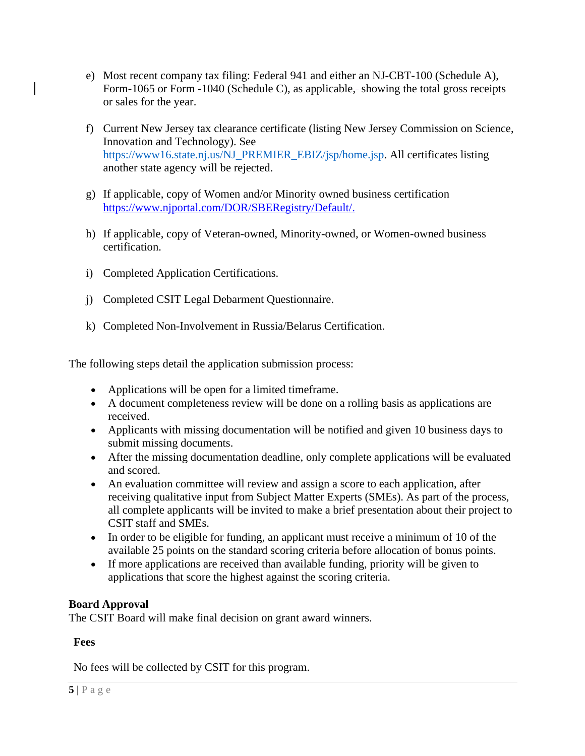- e) Most recent company tax filing: Federal 941 and either an NJ-CBT-100 (Schedule A), Form-1065 or Form -1040 (Schedule C), as applicable, showing the total gross receipts or sales for the year.
- f) Current New Jersey tax clearance certificate (listing New Jersey Commission on Science, Innovation and Technology). See https://www16.state.nj.us/NJ\_PREMIER\_EBIZ/jsp/home.jsp. All certificates listing another state agency will be rejected.
- g) If applicable, copy of Women and/or Minority owned business certification [https://www.njportal.com/DOR/SBERegistry/Default/.](https://www.njportal.com/DOR/SBERegistry/Default/)
- h) If applicable, copy of Veteran-owned, Minority-owned, or Women-owned business certification.
- i) Completed Application Certifications.
- j) Completed CSIT Legal Debarment Questionnaire.
- k) Completed Non-Involvement in Russia/Belarus Certification.

The following steps detail the application submission process:

- Applications will be open for a limited timeframe.
- A document completeness review will be done on a rolling basis as applications are received.
- Applicants with missing documentation will be notified and given 10 business days to submit missing documents.
- After the missing documentation deadline, only complete applications will be evaluated and scored.
- An evaluation committee will review and assign a score to each application, after receiving qualitative input from Subject Matter Experts (SMEs). As part of the process, all complete applicants will be invited to make a brief presentation about their project to CSIT staff and SMEs.
- In order to be eligible for funding, an applicant must receive a minimum of 10 of the available 25 points on the standard scoring criteria before allocation of bonus points.
- If more applications are received than available funding, priority will be given to applications that score the highest against the scoring criteria.

# **Board Approval**

The CSIT Board will make final decision on grant award winners.

# **Fees**

No fees will be collected by CSIT for this program.